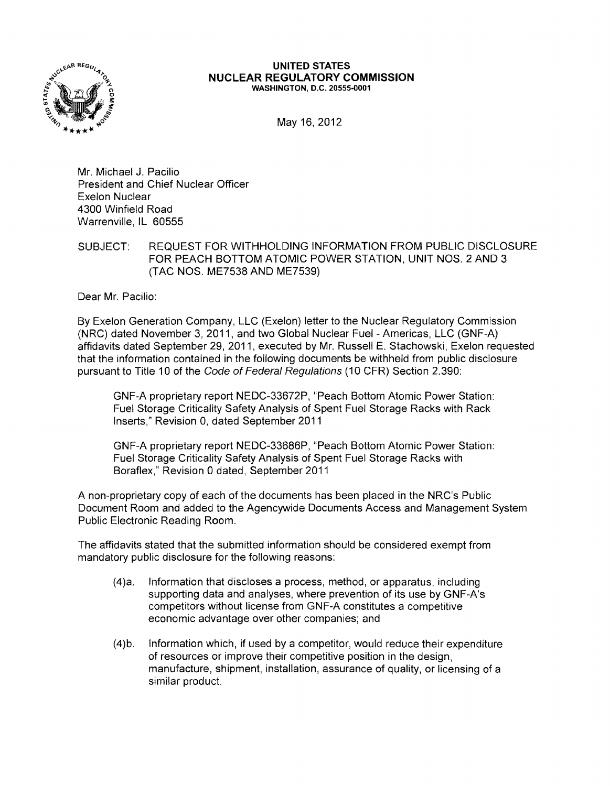

## **UNITED STATES NUCLEAR REGULATORY COMMISSION** WASHINGTON, D.C. 20555·0001

May 16, 2012

Mr. Michael J. Pacilio President and Chief Nuclear Officer Exelon Nuclear 4300 Winfield Road Warrenville, IL 60555

SUBJECT: REQUEST FOR WITHHOLDING INFORMATION FROM PUBLIC DISCLOSURE FOR PEACH BOTTOM ATOMIC POWER STATION, UNIT NOS. 2 AND 3 (TAC NOS. ME7538 AND ME7539)

Dear Mr. Pacilio:

By Exelon Generation Company, LLC (Exelon) letter to the Nuclear Regulatory Commission (NRC) dated November 3, 2011, and two Global Nuclear Fuel - Americas, LLC (GNF-A) affidavits dated September 29, 2011, executed by Mr. Russell E. Stachowski, Exelon requested that the information contained in the following documents be withheld from public disclosure pursuant to Title 10 of the Code of Federal Regulations (10 CFR) Section 2.390:

GNF-A proprietary report NEDC-33672P, "Peach Bottom Atomic Power Station: Fuel Storage Criticality Safety Analysis of Spent Fuel Storage Racks with Rack Inserts," Revision 0, dated September 2011

GNF-A proprietary report NEDC-33686P, "Peach Bottom Atomic Power Station: Fuel Storage Criticality Safety Analysis of Spent Fuel Storage Racks with Boraflex," Revision 0 dated, September 2011

A non-proprietary copy of each of the documents has been placed in the NRC's Public Document Room and added to the Agencywide Documents Access and Management System Public Electronic Reading Room.

The affidavits stated that the submitted information should be considered exempt from mandatory public disclosure for the following reasons:

- (4)a. Information that discloses a process, method, or apparatus, including supporting data and analyses, where prevention of its use by GNF-A's competitors without license from GNF-A constitutes a competitive economic advantage over other companies; and
- (4)b. Information which, if used by a competitor, would reduce their expenditure of resources or improve their competitive position in the design, manufacture, shipment, installation, assurance of quality, or licensing of a similar product.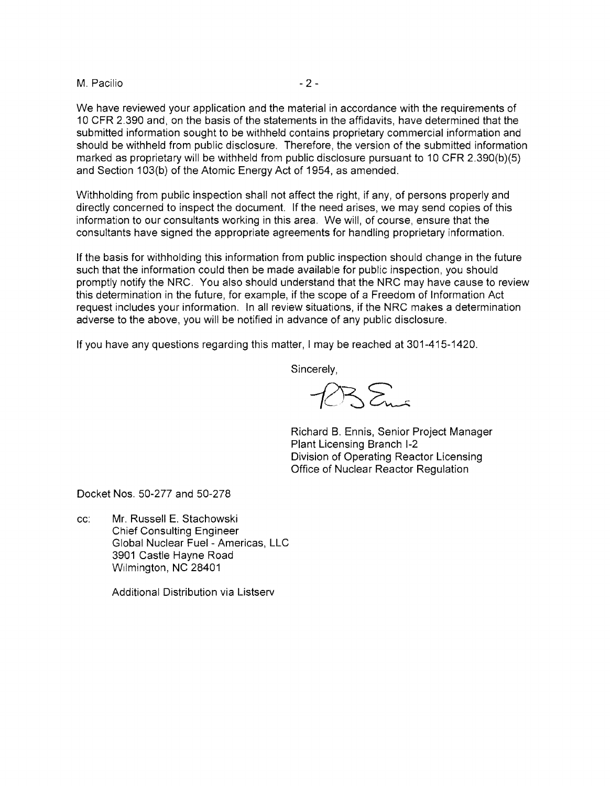## M. Pacilio and the set of the set of the set of the set of the set of the set of the set of the set of the set of the set of the set of the set of the set of the set of the set of the set of the set of the set of the set o

We have reviewed your application and the material in accordance with the requirements of 10 CFR 2.390 and, on the basis of the statements in the affidavits, have determined that the submitted information sought to be withheld contains proprietary commercial information and should be withheld from public disclosure. Therefore, the version of the submitted information marked as proprietary will be withheld from public disclosure pursuant to 10 CFR 2.390(b)(5) and Section 103(b) of the Atomic Energy Act of 1954, as amended.

Withholding from public inspection shall not affect the right, if any, of persons properly and directly concerned to inspect the document. If the need arises, we may send copies of this information to our consultants working in this area. We will, of course, ensure that the consultants have signed the appropriate agreements for handling proprietary information.

If the basis for withholding this information from public inspection should change in the future such that the information could then be made available for public inspection, you should promptly notify the NRC. You also should understand that the NRC may have cause to review this determination in the future, for example, if the scope of a Freedom of Information Act request includes your information. In all review situations, if the NRC makes a determination adverse to the above, you will be notified in advance of any public disclosure.

If you have any questions regarding this matter, I may be reached at 301-415-1420.

Sincerely,

 $255.$ 

Richard B. Ennis, Senior Project Manager Plant Licensing Branch 1-2 Division of Operating Reactor Licensing Office of Nuclear Reactor Regulation

Docket Nos. 50-277 and 50-278

cc: Mr. Russell E. Stachowski Chief Consulting Engineer Global Nuclear Fuel - Americas, LLC 3901 Castle Hayne Road Wilmington, NC 28401

Additional Distribution via Listserv